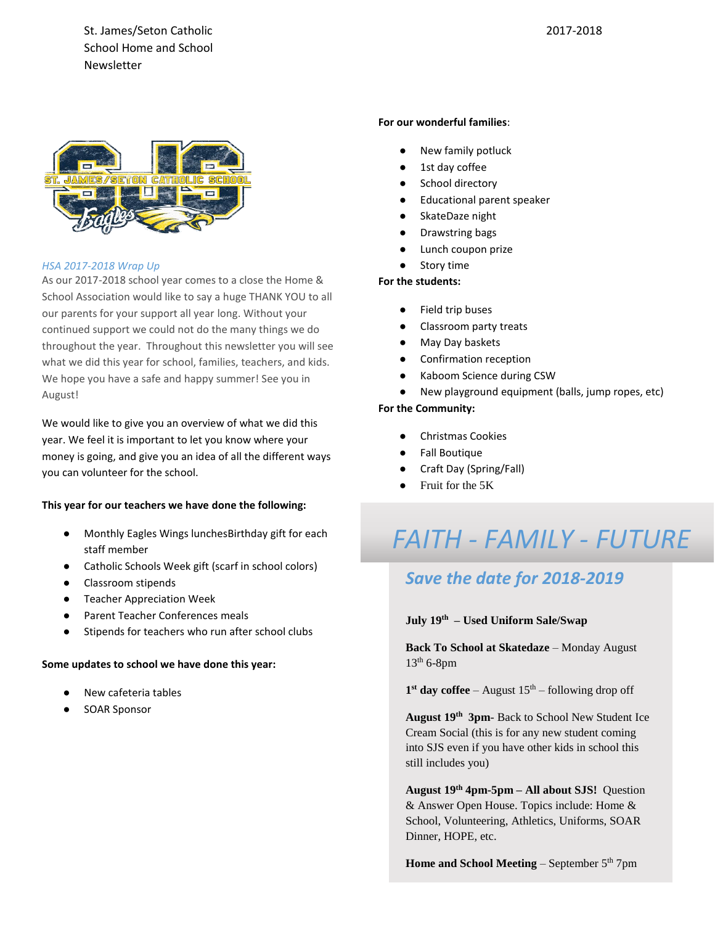St. James/Seton Catholic School Home and School Newsletter



# *HSA 2017-2018 Wrap Up*

As our 2017-2018 school year comes to a close the Home & School Association would like to say a huge THANK YOU to all our parents for your support all year long. Without your continued support we could not do the many things we do throughout the year. Throughout this newsletter you will see what we did this year for school, families, teachers, and kids. We hope you have a safe and happy summer! See you in August!

We would like to give you an overview of what we did this year. We feel it is important to let you know where your money is going, and give you an idea of all the different ways you can volunteer for the school.

### **This year for our teachers we have done the following:**

- Monthly Eagles Wings lunchesBirthday gift for each staff member
- Catholic Schools Week gift (scarf in school colors)
- Classroom stipends
- **Teacher Appreciation Week**
- Parent Teacher Conferences meals
- Stipends for teachers who run after school clubs

# **Some updates to school we have done this year:**

- New cafeteria tables
- SOAR Sponsor

### **For our wonderful families**:

- New family potluck
- 1st day coffee
- School directory
- **Educational parent speaker**
- SkateDaze night
- Drawstring bags
- Lunch coupon prize
- Story time

## **For the students:**

- Field trip buses
- Classroom party treats
- May Day baskets
- Confirmation reception
- Kaboom Science during CSW
- New playground equipment (balls, jump ropes, etc)

## **For the Community:**

- Christmas Cookies
- **Fall Boutique**
- Craft Day (Spring/Fall)
- Fruit for the 5K

# *FAITH - FAMILY - FUTURE*

# *Save the date for 2018-2019*

# **July 19th – Used Uniform Sale/Swap**

**Back To School at Skatedaze** – Monday August  $13<sup>th</sup>$  6-8pm

 $1<sup>st</sup>$  day coffee – August  $15<sup>th</sup>$  – following drop off

**August 19th 3pm**- Back to School New Student Ice Cream Social (this is for any new student coming into SJS even if you have other kids in school this still includes you)

**August 19th 4pm-5pm – All about SJS!** Question & Answer Open House. Topics include: Home & School, Volunteering, Athletics, Uniforms, SOAR Dinner, HOPE, etc.

**Home and School Meeting** – September 5<sup>th</sup> 7pm